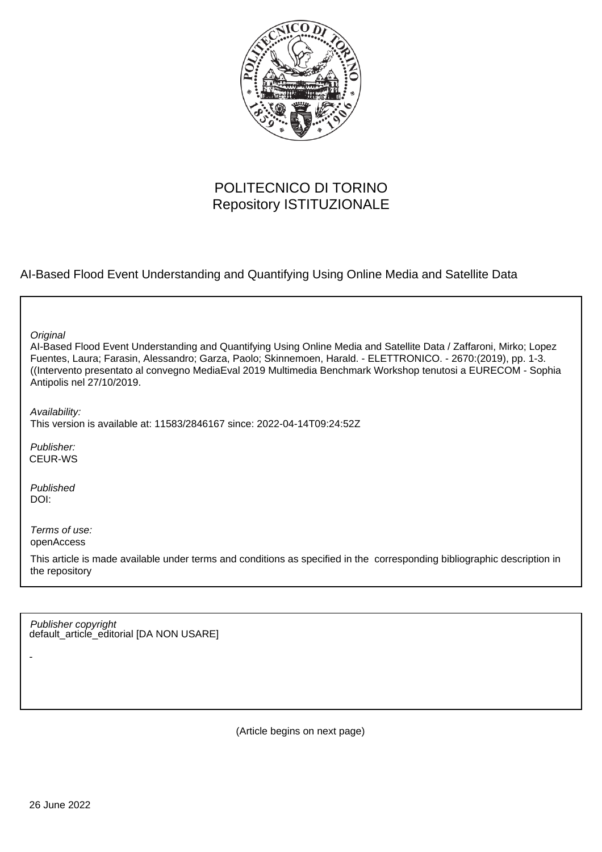

# POLITECNICO DI TORINO Repository ISTITUZIONALE

AI-Based Flood Event Understanding and Quantifying Using Online Media and Satellite Data

**Original** 

AI-Based Flood Event Understanding and Quantifying Using Online Media and Satellite Data / Zaffaroni, Mirko; Lopez Fuentes, Laura; Farasin, Alessandro; Garza, Paolo; Skinnemoen, Harald. - ELETTRONICO. - 2670:(2019), pp. 1-3. ((Intervento presentato al convegno MediaEval 2019 Multimedia Benchmark Workshop tenutosi a EURECOM - Sophia Antipolis nel 27/10/2019.

Availability:

This version is available at: 11583/2846167 since: 2022-04-14T09:24:52Z

Publisher: CEUR-WS

Published DOI:

-

Terms of use: openAccess

This article is made available under terms and conditions as specified in the corresponding bibliographic description in the repository

default\_article\_editorial [DA NON USARE] Publisher copyright

(Article begins on next page)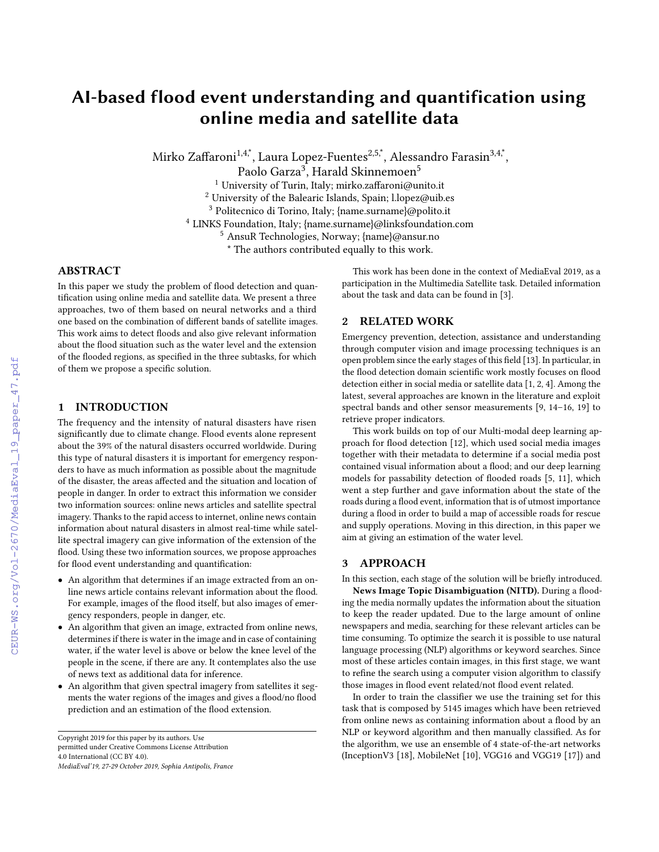# AI-based flood event understanding and quantification using online media and satellite data

Mirko Zaffaroni $^{1,4,\stackrel{*}{\text{\small{*}}}}$ , Laura Lopez-Fuentes $^{2,5,\stackrel{*}{\text{\small{*}}}}$ , Alessandro Farasin $^{3,4,\stackrel{*}{\text{\small{*}}}}$ ,

Paolo Garza<sup>3</sup>, Harald Skinnemoen<sup>5</sup>

 $^1$ University of Turin, Italy; mirko.zaffaroni@unito.it

<sup>2</sup> University of the Balearic Islands, Spain; l.lopez@uib.es

<sup>3</sup> Politecnico di Torino, Italy; {name.surname}@polito.it

<sup>4</sup> LINKS Foundation, Italy; {name.surname}@linksfoundation.com

<sup>5</sup> AnsuR Technologies, Norway; {name}@ansur.no

\* The authors contributed equally to this work.

# ABSTRACT

In this paper we study the problem of flood detection and quantification using online media and satellite data. We present a three approaches, two of them based on neural networks and a third one based on the combination of different bands of satellite images. This work aims to detect floods and also give relevant information about the flood situation such as the water level and the extension of the flooded regions, as specified in the three subtasks, for which of them we propose a specific solution.

### 1 INTRODUCTION

The frequency and the intensity of natural disasters have risen significantly due to climate change. Flood events alone represent about the 39% of the natural disasters occurred worldwide. During this type of natural disasters it is important for emergency responders to have as much information as possible about the magnitude of the disaster, the areas affected and the situation and location of people in danger. In order to extract this information we consider two information sources: online news articles and satellite spectral imagery. Thanks to the rapid access to internet, online news contain information about natural disasters in almost real-time while satellite spectral imagery can give information of the extension of the flood. Using these two information sources, we propose approaches for flood event understanding and quantification:

- An algorithm that determines if an image extracted from an online news article contains relevant information about the flood. For example, images of the flood itself, but also images of emergency responders, people in danger, etc.
- An algorithm that given an image, extracted from online news, determines if there is water in the image and in case of containing water, if the water level is above or below the knee level of the people in the scene, if there are any. It contemplates also the use of news text as additional data for inference.
- An algorithm that given spectral imagery from satellites it segments the water regions of the images and gives a flood/no flood prediction and an estimation of the flood extension.

This work has been done in the context of MediaEval 2019, as a participation in the Multimedia Satellite task. Detailed information about the task and data can be found in [\[3\]](#page--1-0).

# 2 RELATED WORK

Emergency prevention, detection, assistance and understanding through computer vision and image processing techniques is an open problem since the early stages of this field [\[13\]](#page--1-1). In particular, in the flood detection domain scientific work mostly focuses on flood detection either in social media or satellite data [\[1,](#page--1-2) [2,](#page--1-3) [4\]](#page--1-4). Among the latest, several approaches are known in the literature and exploit spectral bands and other sensor measurements [\[9,](#page--1-5) [14](#page--1-6)[–16,](#page--1-7) [19\]](#page--1-8) to retrieve proper indicators.

This work builds on top of our Multi-modal deep learning approach for flood detection [\[12\]](#page--1-9), which used social media images together with their metadata to determine if a social media post contained visual information about a flood; and our deep learning models for passability detection of flooded roads [\[5,](#page--1-10) [11\]](#page--1-11), which went a step further and gave information about the state of the roads during a flood event, information that is of utmost importance during a flood in order to build a map of accessible roads for rescue and supply operations. Moving in this direction, in this paper we aim at giving an estimation of the water level.

# 3 APPROACH

In this section, each stage of the solution will be briefly introduced.

News Image Topic Disambiguation (NITD). During a flooding the media normally updates the information about the situation to keep the reader updated. Due to the large amount of online newspapers and media, searching for these relevant articles can be time consuming. To optimize the search it is possible to use natural language processing (NLP) algorithms or keyword searches. Since most of these articles contain images, in this first stage, we want to refine the search using a computer vision algorithm to classify those images in flood event related/not flood event related.

In order to train the classifier we use the training set for this task that is composed by 5145 images which have been retrieved from online news as containing information about a flood by an NLP or keyword algorithm and then manually classified. As for the algorithm, we use an ensemble of 4 state-of-the-art networks (InceptionV3 [\[18\]](#page--1-12), MobileNet [\[10\]](#page--1-13), VGG16 and VGG19 [\[17\]](#page--1-14)) and

Copyright 2019 for this paper by its authors. Use permitted under Creative Commons License Attribution 4.0 International (CC BY 4.0). MediaEval'19, 27-29 October 2019, Sophia Antipolis, France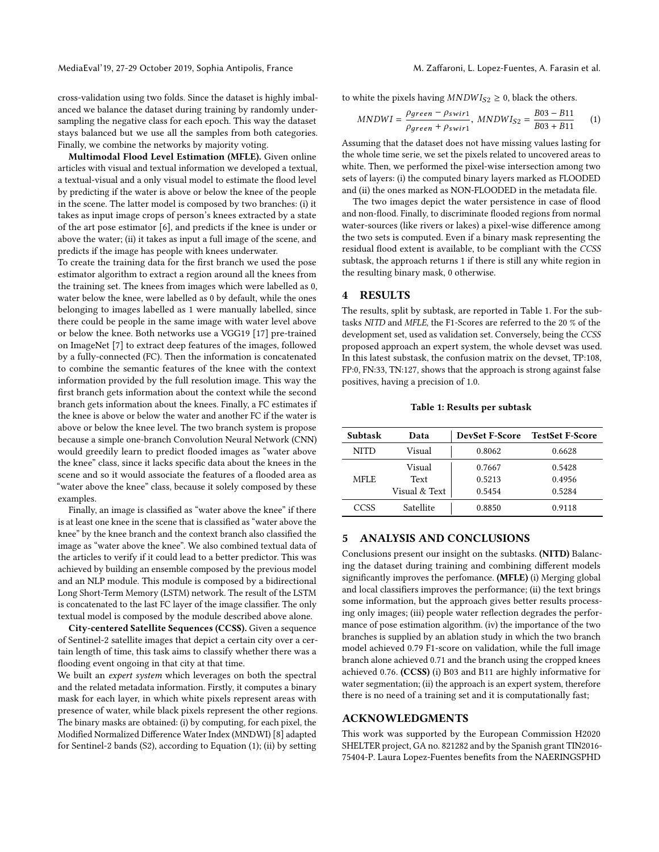MediaEval'19, 27-29 October 2019, Sophia Antipolis, France M. Zaffaroni, L. Lopez-Fuentes, A. Farasin et al.

cross-validation using two folds. Since the dataset is highly imbalanced we balance the dataset during training by randomly undersampling the negative class for each epoch. This way the dataset stays balanced but we use all the samples from both categories. Finally, we combine the networks by majority voting.

Multimodal Flood Level Estimation (MFLE). Given online articles with visual and textual information we developed a textual, a textual-visual and a only visual model to estimate the flood level by predicting if the water is above or below the knee of the people in the scene. The latter model is composed by two branches: (i) it takes as input image crops of person's knees extracted by a state of the art pose estimator [\[6\]](#page-3-0), and predicts if the knee is under or above the water; (ii) it takes as input a full image of the scene, and predicts if the image has people with knees underwater.

To create the training data for the first branch we used the pose estimator algorithm to extract a region around all the knees from the training set. The knees from images which were labelled as 0, water below the knee, were labelled as 0 by default, while the ones belonging to images labelled as 1 were manually labelled, since there could be people in the same image with water level above or below the knee. Both networks use a VGG19 [\[17\]](#page-3-1) pre-trained on ImageNet [\[7\]](#page-3-2) to extract deep features of the images, followed by a fully-connected (FC). Then the information is concatenated to combine the semantic features of the knee with the context information provided by the full resolution image. This way the first branch gets information about the context while the second branch gets information about the knees. Finally, a FC estimates if the knee is above or below the water and another FC if the water is above or below the knee level. The two branch system is propose because a simple one-branch Convolution Neural Network (CNN) would greedily learn to predict flooded images as "water above the knee" class, since it lacks specific data about the knees in the scene and so it would associate the features of a flooded area as "water above the knee" class, because it solely composed by these examples.

Finally, an image is classified as "water above the knee" if there is at least one knee in the scene that is classified as "water above the knee" by the knee branch and the context branch also classified the image as "water above the knee". We also combined textual data of the articles to verify if it could lead to a better predictor. This was achieved by building an ensemble composed by the previous model and an NLP module. This module is composed by a bidirectional Long Short-Term Memory (LSTM) network. The result of the LSTM is concatenated to the last FC layer of the image classifier. The only textual model is composed by the module described above alone.

City-centered Satellite Sequences (CCSS). Given a sequence of Sentinel-2 satellite images that depict a certain city over a certain length of time, this task aims to classify whether there was a flooding event ongoing in that city at that time.

We built an *expert system* which leverages on both the spectral and the related metadata information. Firstly, it computes a binary mask for each layer, in which white pixels represent areas with presence of water, while black pixels represent the other regions. The binary masks are obtained: (i) by computing, for each pixel, the Modified Normalized Difference Water Index (MNDWI) [\[8\]](#page-3-3) adapted for Sentinel-2 bands (S2), according to Equation [\(1\)](#page-2-0); (ii) by setting

to white the pixels having  $MNDW I_{S2} \geq 0$ , black the others.

<span id="page-2-0"></span>
$$
MNDWI = \frac{\rho_{green} - \rho_{swirl}}{\rho_{green} + \rho_{swirl}}, \ MNDWI_{S2} = \frac{B03 - B11}{B03 + B11} \tag{1}
$$

Assuming that the dataset does not have missing values lasting for the whole time serie, we set the pixels related to uncovered areas to white. Then, we performed the pixel-wise intersection among two sets of layers: (i) the computed binary layers marked as FLOODED and (ii) the ones marked as NON-FLOODED in the metadata file.

The two images depict the water persistence in case of flood and non-flood. Finally, to discriminate flooded regions from normal water-sources (like rivers or lakes) a pixel-wise difference among the two sets is computed. Even if a binary mask representing the residual flood extent is available, to be compliant with the CCSS subtask, the approach returns 1 if there is still any white region in the resulting binary mask, 0 otherwise.

### 4 RESULTS

The results, split by subtask, are reported in Table [1.](#page-2-1) For the subtasks NITD and MFLE, the F1-Scores are referred to the 20 % of the development set, used as validation set. Conversely, being the CCSS proposed approach an expert system, the whole devset was used. In this latest substask, the confusion matrix on the devset, TP:108, FP:0, FN:33, TN:127, shows that the approach is strong against false positives, having a precision of 1.0.

#### Table 1: Results per subtask

<span id="page-2-1"></span>

| Subtask     | Data                            | <b>DevSet F-Score</b>      | <b>TestSet F-Score</b>     |
|-------------|---------------------------------|----------------------------|----------------------------|
| NITD        | Visual                          | 0.8062                     | 0.6628                     |
| <b>MFLE</b> | Visual<br>Text<br>Visual & Text | 0.7667<br>0.5213<br>0.5454 | 0.5428<br>0.4956<br>0.5284 |
| CCSS        | Satellite                       | 0.8850                     | 0.9118                     |

# 5 ANALYSIS AND CONCLUSIONS

Conclusions present our insight on the subtasks. (NITD) Balancing the dataset during training and combining different models significantly improves the perfomance. (MFLE) (i) Merging global and local classifiers improves the performance; (ii) the text brings some information, but the approach gives better results processing only images; (iii) people water reflection degrades the performance of pose estimation algorithm. (iv) the importance of the two branches is supplied by an ablation study in which the two branch model achieved 0.79 F1-score on validation, while the full image branch alone achieved 0.71 and the branch using the cropped knees achieved 0.76. (CCSS) (i) B03 and B11 are highly informative for water segmentation; (ii) the approach is an expert system, therefore there is no need of a training set and it is computationally fast;

#### ACKNOWLEDGMENTS

This work was supported by the European Commission H2020 SHELTER project, GA no. 821282 and by the Spanish grant TIN2016- 75404-P. Laura Lopez-Fuentes benefits from the NAERINGSPHD